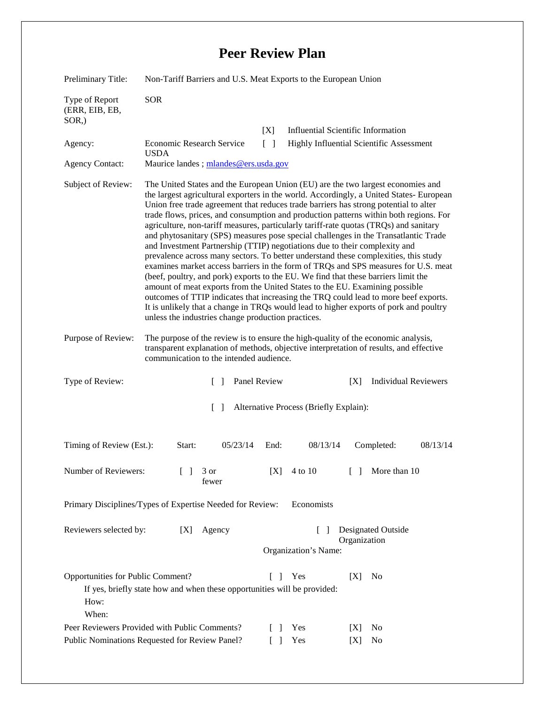## **Peer Review Plan**

| Preliminary Title:                                                      | Non-Tariff Barriers and U.S. Meat Exports to the European Union                                                                                                                                                                                                                                                                                                                                                                                                                                                                                                                                                                                                                                                                                                                                                                                                                                                                                                                                                                                                                                                                                                                                                  |              |                                      |                                           |
|-------------------------------------------------------------------------|------------------------------------------------------------------------------------------------------------------------------------------------------------------------------------------------------------------------------------------------------------------------------------------------------------------------------------------------------------------------------------------------------------------------------------------------------------------------------------------------------------------------------------------------------------------------------------------------------------------------------------------------------------------------------------------------------------------------------------------------------------------------------------------------------------------------------------------------------------------------------------------------------------------------------------------------------------------------------------------------------------------------------------------------------------------------------------------------------------------------------------------------------------------------------------------------------------------|--------------|--------------------------------------|-------------------------------------------|
| Type of Report<br>(ERR, EIB, EB,<br>SOR,)                               | <b>SOR</b>                                                                                                                                                                                                                                                                                                                                                                                                                                                                                                                                                                                                                                                                                                                                                                                                                                                                                                                                                                                                                                                                                                                                                                                                       |              |                                      |                                           |
|                                                                         |                                                                                                                                                                                                                                                                                                                                                                                                                                                                                                                                                                                                                                                                                                                                                                                                                                                                                                                                                                                                                                                                                                                                                                                                                  | [X]          |                                      | <b>Influential Scientific Information</b> |
| Agency:                                                                 | Economic Research Service<br><b>USDA</b>                                                                                                                                                                                                                                                                                                                                                                                                                                                                                                                                                                                                                                                                                                                                                                                                                                                                                                                                                                                                                                                                                                                                                                         | $\Box$       |                                      | Highly Influential Scientific Assessment  |
| <b>Agency Contact:</b>                                                  | Maurice landes; mlandes@ers.usda.gov                                                                                                                                                                                                                                                                                                                                                                                                                                                                                                                                                                                                                                                                                                                                                                                                                                                                                                                                                                                                                                                                                                                                                                             |              |                                      |                                           |
| Subject of Review:                                                      | The United States and the European Union (EU) are the two largest economies and<br>the largest agricultural exporters in the world. Accordingly, a United States-European<br>Union free trade agreement that reduces trade barriers has strong potential to alter<br>trade flows, prices, and consumption and production patterns within both regions. For<br>agriculture, non-tariff measures, particularly tariff-rate quotas (TRQs) and sanitary<br>and phytosanitary (SPS) measures pose special challenges in the Transatlantic Trade<br>and Investment Partnership (TTIP) negotiations due to their complexity and<br>prevalence across many sectors. To better understand these complexities, this study<br>examines market access barriers in the form of TRQs and SPS measures for U.S. meat<br>(beef, poultry, and pork) exports to the EU. We find that these barriers limit the<br>amount of meat exports from the United States to the EU. Examining possible<br>outcomes of TTIP indicates that increasing the TRQ could lead to more beef exports.<br>It is unlikely that a change in TRQs would lead to higher exports of pork and poultry<br>unless the industries change production practices. |              |                                      |                                           |
| Purpose of Review:                                                      | The purpose of the review is to ensure the high-quality of the economic analysis,<br>transparent explanation of methods, objective interpretation of results, and effective<br>communication to the intended audience.                                                                                                                                                                                                                                                                                                                                                                                                                                                                                                                                                                                                                                                                                                                                                                                                                                                                                                                                                                                           |              |                                      |                                           |
| Type of Review:                                                         | $\Box$                                                                                                                                                                                                                                                                                                                                                                                                                                                                                                                                                                                                                                                                                                                                                                                                                                                                                                                                                                                                                                                                                                                                                                                                           | Panel Review |                                      | <b>Individual Reviewers</b><br>[X]        |
| Alternative Process (Briefly Explain):<br>$\Box$                        |                                                                                                                                                                                                                                                                                                                                                                                                                                                                                                                                                                                                                                                                                                                                                                                                                                                                                                                                                                                                                                                                                                                                                                                                                  |              |                                      |                                           |
| Timing of Review (Est.):                                                | Start:<br>05/23/14                                                                                                                                                                                                                                                                                                                                                                                                                                                                                                                                                                                                                                                                                                                                                                                                                                                                                                                                                                                                                                                                                                                                                                                               | End:         | 08/13/14                             | 08/13/14<br>Completed:                    |
| Number of Reviewers:                                                    | $\begin{bmatrix} 1 & 3 \end{bmatrix}$<br>fewer                                                                                                                                                                                                                                                                                                                                                                                                                                                                                                                                                                                                                                                                                                                                                                                                                                                                                                                                                                                                                                                                                                                                                                   |              |                                      | [X] $4 \text{ to } 10$ [ ] More than 10   |
| Primary Disciplines/Types of Expertise Needed for Review:<br>Economists |                                                                                                                                                                                                                                                                                                                                                                                                                                                                                                                                                                                                                                                                                                                                                                                                                                                                                                                                                                                                                                                                                                                                                                                                                  |              |                                      |                                           |
| Reviewers selected by:                                                  | Agency<br>[X]                                                                                                                                                                                                                                                                                                                                                                                                                                                                                                                                                                                                                                                                                                                                                                                                                                                                                                                                                                                                                                                                                                                                                                                                    |              | $\mathbf{1}$<br>Organization's Name: | Designated Outside<br>Organization        |
| Opportunities for Public Comment?<br>How:<br>When:                      | If yes, briefly state how and when these opportunities will be provided:<br>Peer Reviewers Provided with Public Comments?                                                                                                                                                                                                                                                                                                                                                                                                                                                                                                                                                                                                                                                                                                                                                                                                                                                                                                                                                                                                                                                                                        | $\mathbf{I}$ | Yes<br>Yes                           | N <sub>0</sub><br>[X]<br>No<br>[X]        |
| Public Nominations Requested for Review Panel?                          |                                                                                                                                                                                                                                                                                                                                                                                                                                                                                                                                                                                                                                                                                                                                                                                                                                                                                                                                                                                                                                                                                                                                                                                                                  |              | Yes                                  | [X]<br>No                                 |